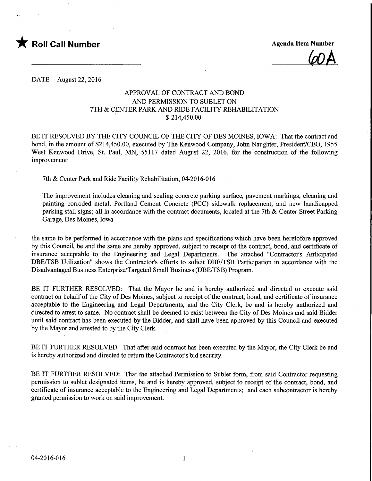

 $\omega_A$ 

DATE August 22, 2016

## APPROVAL OF CONTRACT AND BOND AND PERMISSION TO SUBLET ON 7TH & CENTER PARK AND RIDE FACILITY REHABILITATION \$ 214,450.00

BE IT RESOLVED BY THE CITY COUNCIL OF THE CITY OF DES MOINES, IOWA: That the contract and bond, in the amount of \$214,450.00, executed by The Kenwood Company, John Naughter, President/CEO, 1955 West Kenwood Drive, St. Paul, MN, 55117 dated August 22, 2016, for the construction of the following improvement:

7th & Center Park and Ride Facility Rehabilitation, 04-2016-016

The improvement includes cleaning and sealing concrete parking surface, pavement markings, cleaning and painting corroded metal, Portland Cement Concrete (PCC) sidewalk replacement, and new handicapped parking stall signs; all in accordance with the contract documents, located at the 7th & Center Street Parking Garage, Des Moines, Iowa

the same to be performed in accordance with the plans and specifications which have been heretofore approved by this Council, be and the same are hereby approved, subject to receipt of the contract, bond, and certificate of insurance acceptable to the Engineering and Legal Departments. The attached "Contractor's Anticipated DBE/TSB Utilization" shows the Contractor's efforts to solicit DBE/TSB Participation in accordance with the Disadvantaged Business Enterprise/Targeted Small Business (DBE/TSB) Program.

BE IT FURTHER RESOLVED: That the Mayor be and is hereby authorized and directed to execute said contract on behalf of the City of Des Moines, subject to receipt of the contract, bond, and certificate of insurance acceptable to the Engineering and Legal Departments, and the. City Clerk, be and is hereby authorized and directed to attest to same. No contract shall be deemed to exist between the City of Des Moines and said Bidder until said contract has been executed by the Bidder, and shall have been approved by this Council and executed by the Mayor and attested to by the City Clerk.

BE IT FURTHER RESOLVED: That after said contract has been executed by the Mayor, the City Clerk be and is hereby authorized and directed to return the Contractor's bid security.

BE IT FURTHER RESOLVED: That the attached Permission to Sublet form, from said Contractor requesting permission to sublet designated items, be and is hereby approved, subject to receipt of the contract, bond, and certificate of insurance acceptable to the Engineering and Legal Departments; and each subcontractor is hereby granted permission to work on said improvement.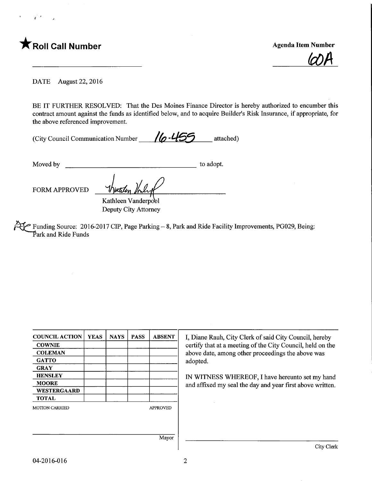

 $\omega$ A

DATE August 22, 2016

BE IT FURTHER RESOLVED: That the Des Moines Finance Director is hereby authorized to encumber this contract amount against the funds as identified below, and to acquire Builder's Risk Insurance, if appropriate, for the above referenced improvement.

(City Council Communication Number  $\sqrt{6} - 455$  attached)

Moved by to adopt.

FORM APPROVED Mutilen

Kathleen Vanderpobl Deputy City Attorney

Funding Source: 2016-2017 CIP, Page Parking - 8, Park and Ride Facility Improvements, PG029, Being: Park and Ride Funds

| <b>COUNCIL ACTION</b> | <b>YEAS</b> | <b>NAYS</b> | <b>PASS</b> | <b>ABSENT</b>   | I, Diane Rauh, City Clerk of said City Council, hereby                                                          |  |  |
|-----------------------|-------------|-------------|-------------|-----------------|-----------------------------------------------------------------------------------------------------------------|--|--|
| <b>COWNIE</b>         |             |             |             |                 | certify that at a meeting of the City Council, held on the<br>above date, among other proceedings the above was |  |  |
| <b>COLEMAN</b>        |             |             |             |                 |                                                                                                                 |  |  |
| <b>GATTO</b>          |             |             |             |                 | adopted.                                                                                                        |  |  |
| <b>GRAY</b>           |             |             |             |                 | IN WITNESS WHEREOF, I have hereunto set my hand<br>and affixed my seal the day and year first above written.    |  |  |
| <b>HENSLEY</b>        |             |             |             |                 |                                                                                                                 |  |  |
| <b>MOORE</b>          |             |             |             |                 |                                                                                                                 |  |  |
| <b>WESTERGAARD</b>    |             |             |             |                 |                                                                                                                 |  |  |
| <b>TOTAL</b>          |             |             |             |                 |                                                                                                                 |  |  |
| <b>MOTION CARRIED</b> |             |             |             | <b>APPROVED</b> |                                                                                                                 |  |  |
|                       |             |             |             |                 |                                                                                                                 |  |  |
|                       |             |             |             |                 |                                                                                                                 |  |  |
|                       |             |             |             | Mayor           |                                                                                                                 |  |  |
|                       |             |             |             |                 | City Clerk                                                                                                      |  |  |